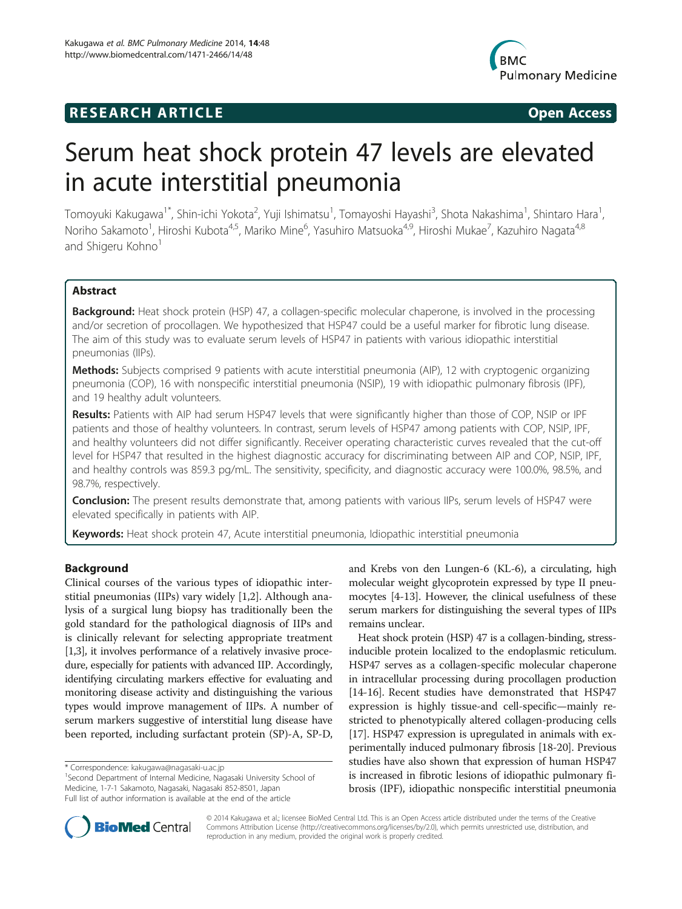# **RESEARCH ARTICLE Example 2018 CONSIDERING CONSIDERING CONSIDERING CONSIDERING CONSIDERING CONSIDERING CONSIDERING CONSIDERING CONSIDERING CONSIDERING CONSIDERING CONSIDERING CONSIDERING CONSIDERING CONSIDERING CONSIDE**



# Serum heat shock protein 47 levels are elevated in acute interstitial pneumonia

Tomoyuki Kakugawa<sup>1\*</sup>, Shin-ichi Yokota<sup>2</sup>, Yuji Ishimatsu<sup>1</sup>, Tomayoshi Hayashi<sup>3</sup>, Shota Nakashima<sup>1</sup>, Shintaro Hara<sup>1</sup> , Noriho Sakamoto<sup>1</sup>, Hiroshi Kubota<sup>4,5</sup>, Mariko Mine<sup>6</sup>, Yasuhiro Matsuoka<sup>4,9</sup>, Hiroshi Mukae<sup>7</sup>, Kazuhiro Nagata<sup>4,8</sup> and Shigeru Kohno<sup>1</sup>

# Abstract

**Background:** Heat shock protein (HSP) 47, a collagen-specific molecular chaperone, is involved in the processing and/or secretion of procollagen. We hypothesized that HSP47 could be a useful marker for fibrotic lung disease. The aim of this study was to evaluate serum levels of HSP47 in patients with various idiopathic interstitial pneumonias (IIPs).

Methods: Subjects comprised 9 patients with acute interstitial pneumonia (AIP), 12 with cryptogenic organizing pneumonia (COP), 16 with nonspecific interstitial pneumonia (NSIP), 19 with idiopathic pulmonary fibrosis (IPF), and 19 healthy adult volunteers.

Results: Patients with AIP had serum HSP47 levels that were significantly higher than those of COP, NSIP or IPF patients and those of healthy volunteers. In contrast, serum levels of HSP47 among patients with COP, NSIP, IPF, and healthy volunteers did not differ significantly. Receiver operating characteristic curves revealed that the cut-off level for HSP47 that resulted in the highest diagnostic accuracy for discriminating between AIP and COP, NSIP, IPF, and healthy controls was 859.3 pg/mL. The sensitivity, specificity, and diagnostic accuracy were 100.0%, 98.5%, and 98.7%, respectively.

**Conclusion:** The present results demonstrate that, among patients with various IIPs, serum levels of HSP47 were elevated specifically in patients with AIP.

Keywords: Heat shock protein 47, Acute interstitial pneumonia, Idiopathic interstitial pneumonia

# Background

Clinical courses of the various types of idiopathic interstitial pneumonias (IIPs) vary widely [\[1,2](#page-6-0)]. Although analysis of a surgical lung biopsy has traditionally been the gold standard for the pathological diagnosis of IIPs and is clinically relevant for selecting appropriate treatment [[1,3](#page-6-0)], it involves performance of a relatively invasive procedure, especially for patients with advanced IIP. Accordingly, identifying circulating markers effective for evaluating and monitoring disease activity and distinguishing the various types would improve management of IIPs. A number of serum markers suggestive of interstitial lung disease have been reported, including surfactant protein (SP)-A, SP-D,

and Krebs von den Lungen-6 (KL-6), a circulating, high molecular weight glycoprotein expressed by type II pneumocytes [[4](#page-6-0)-[13](#page-6-0)]. However, the clinical usefulness of these serum markers for distinguishing the several types of IIPs remains unclear.

Heat shock protein (HSP) 47 is a collagen-binding, stressinducible protein localized to the endoplasmic reticulum. HSP47 serves as a collagen-specific molecular chaperone in intracellular processing during procollagen production [[14](#page-6-0)-[16\]](#page-6-0). Recent studies have demonstrated that HSP47 expression is highly tissue-and cell-specific—mainly restricted to phenotypically altered collagen-producing cells [[17](#page-6-0)]. HSP47 expression is upregulated in animals with experimentally induced pulmonary fibrosis [\[18](#page-6-0)-[20](#page-6-0)]. Previous studies have also shown that expression of human HSP47 is increased in fibrotic lesions of idiopathic pulmonary fibrosis (IPF), idiopathic nonspecific interstitial pneumonia



© 2014 Kakugawa et al.; licensee BioMed Central Ltd. This is an Open Access article distributed under the terms of the Creative Commons Attribution License [\(http://creativecommons.org/licenses/by/2.0\)](http://creativecommons.org/licenses/by/2.0), which permits unrestricted use, distribution, and reproduction in any medium, provided the original work is properly credited.

<sup>\*</sup> Correspondence: [kakugawa@nagasaki-u.ac.jp](mailto:kakugawa@nagasaki-u.ac.jp) <sup>1</sup>

<sup>&</sup>lt;sup>1</sup>Second Department of Internal Medicine, Nagasaki University School of Medicine, 1-7-1 Sakamoto, Nagasaki, Nagasaki 852-8501, Japan Full list of author information is available at the end of the article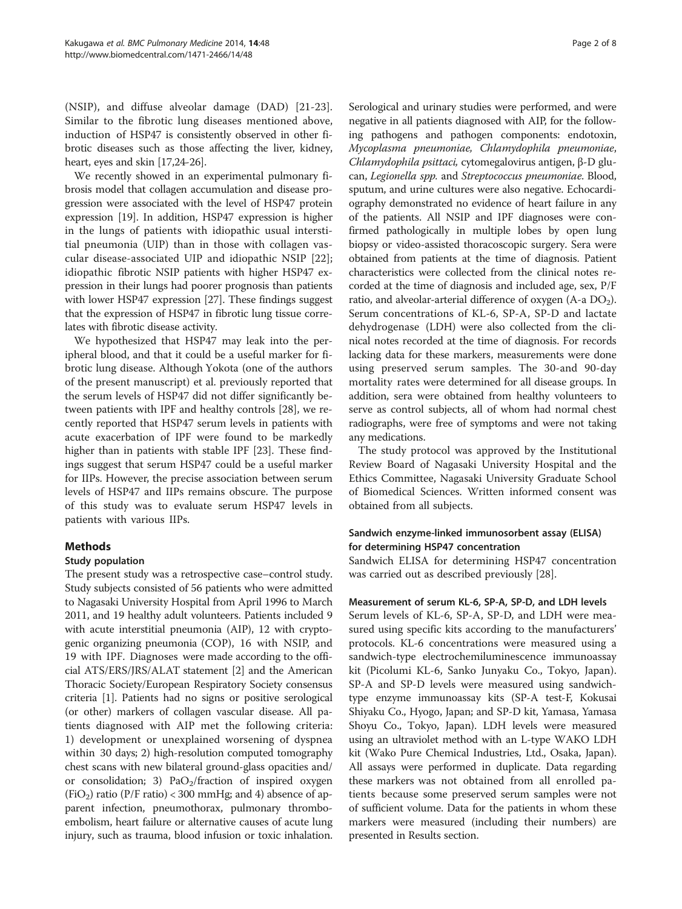(NSIP), and diffuse alveolar damage (DAD) [\[21](#page-6-0)-[23](#page-6-0)]. Similar to the fibrotic lung diseases mentioned above, induction of HSP47 is consistently observed in other fibrotic diseases such as those affecting the liver, kidney, heart, eyes and skin [[17,24](#page-6-0)-[26](#page-6-0)].

We recently showed in an experimental pulmonary fibrosis model that collagen accumulation and disease progression were associated with the level of HSP47 protein expression [\[19\]](#page-6-0). In addition, HSP47 expression is higher in the lungs of patients with idiopathic usual interstitial pneumonia (UIP) than in those with collagen vascular disease-associated UIP and idiopathic NSIP [\[22](#page-6-0)]; idiopathic fibrotic NSIP patients with higher HSP47 expression in their lungs had poorer prognosis than patients with lower HSP47 expression [[27](#page-6-0)]. These findings suggest that the expression of HSP47 in fibrotic lung tissue correlates with fibrotic disease activity.

We hypothesized that HSP47 may leak into the peripheral blood, and that it could be a useful marker for fibrotic lung disease. Although Yokota (one of the authors of the present manuscript) et al. previously reported that the serum levels of HSP47 did not differ significantly between patients with IPF and healthy controls [[28](#page-6-0)], we recently reported that HSP47 serum levels in patients with acute exacerbation of IPF were found to be markedly higher than in patients with stable IPF [\[23](#page-6-0)]. These findings suggest that serum HSP47 could be a useful marker for IIPs. However, the precise association between serum levels of HSP47 and IIPs remains obscure. The purpose of this study was to evaluate serum HSP47 levels in patients with various IIPs.

## Methods

#### Study population

The present study was a retrospective case–control study. Study subjects consisted of 56 patients who were admitted to Nagasaki University Hospital from April 1996 to March 2011, and 19 healthy adult volunteers. Patients included 9 with acute interstitial pneumonia (AIP), 12 with cryptogenic organizing pneumonia (COP), 16 with NSIP, and 19 with IPF. Diagnoses were made according to the official ATS/ERS/JRS/ALAT statement [[2\]](#page-6-0) and the American Thoracic Society/European Respiratory Society consensus criteria [\[1](#page-6-0)]. Patients had no signs or positive serological (or other) markers of collagen vascular disease. All patients diagnosed with AIP met the following criteria: 1) development or unexplained worsening of dyspnea within 30 days; 2) high-resolution computed tomography chest scans with new bilateral ground-glass opacities and/ or consolidation; 3)  $PaO<sub>2</sub>/fraction$  of inspired oxygen  $(FiO<sub>2</sub>)$  ratio  $(P/F$  ratio) < 300 mmHg; and 4) absence of apparent infection, pneumothorax, pulmonary thromboembolism, heart failure or alternative causes of acute lung injury, such as trauma, blood infusion or toxic inhalation.

Serological and urinary studies were performed, and were negative in all patients diagnosed with AIP, for the following pathogens and pathogen components: endotoxin, Mycoplasma pneumoniae, Chlamydophila pneumoniae, Chlamydophila psittaci, cytomegalovirus antigen, β-D glucan, Legionella spp. and Streptococcus pneumoniae. Blood, sputum, and urine cultures were also negative. Echocardiography demonstrated no evidence of heart failure in any of the patients. All NSIP and IPF diagnoses were confirmed pathologically in multiple lobes by open lung biopsy or video-assisted thoracoscopic surgery. Sera were obtained from patients at the time of diagnosis. Patient characteristics were collected from the clinical notes recorded at the time of diagnosis and included age, sex, P/F ratio, and alveolar-arterial difference of oxygen (A-a DO<sub>2</sub>). Serum concentrations of KL-6, SP-A, SP-D and lactate dehydrogenase (LDH) were also collected from the clinical notes recorded at the time of diagnosis. For records lacking data for these markers, measurements were done using preserved serum samples. The 30-and 90-day mortality rates were determined for all disease groups. In addition, sera were obtained from healthy volunteers to serve as control subjects, all of whom had normal chest radiographs, were free of symptoms and were not taking any medications.

The study protocol was approved by the Institutional Review Board of Nagasaki University Hospital and the Ethics Committee, Nagasaki University Graduate School of Biomedical Sciences. Written informed consent was obtained from all subjects.

# Sandwich enzyme-linked immunosorbent assay (ELISA) for determining HSP47 concentration

Sandwich ELISA for determining HSP47 concentration was carried out as described previously [\[28](#page-6-0)].

#### Measurement of serum KL-6, SP-A, SP-D, and LDH levels

Serum levels of KL-6, SP-A, SP-D, and LDH were measured using specific kits according to the manufacturers' protocols. KL-6 concentrations were measured using a sandwich-type electrochemiluminescence immunoassay kit (Picolumi KL-6, Sanko Junyaku Co., Tokyo, Japan). SP-A and SP-D levels were measured using sandwichtype enzyme immunoassay kits (SP-A test-F, Kokusai Shiyaku Co., Hyogo, Japan; and SP-D kit, Yamasa, Yamasa Shoyu Co., Tokyo, Japan). LDH levels were measured using an ultraviolet method with an L-type WAKO LDH kit (Wako Pure Chemical Industries, Ltd., Osaka, Japan). All assays were performed in duplicate. Data regarding these markers was not obtained from all enrolled patients because some preserved serum samples were not of sufficient volume. Data for the patients in whom these markers were measured (including their numbers) are presented in [Results](#page-2-0) section.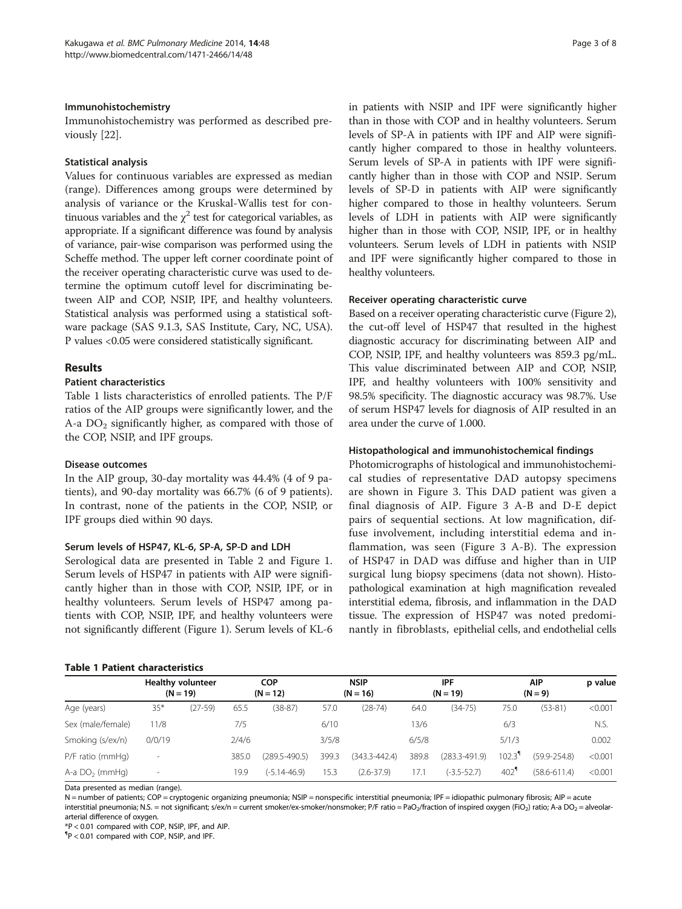#### <span id="page-2-0"></span>Immunohistochemistry

Immunohistochemistry was performed as described previously [\[22\]](#page-6-0).

#### Statistical analysis

Values for continuous variables are expressed as median (range). Differences among groups were determined by analysis of variance or the Kruskal-Wallis test for continuous variables and the  $\chi^2$  test for categorical variables, as appropriate. If a significant difference was found by analysis of variance, pair-wise comparison was performed using the Scheffe method. The upper left corner coordinate point of the receiver operating characteristic curve was used to determine the optimum cutoff level for discriminating between AIP and COP, NSIP, IPF, and healthy volunteers. Statistical analysis was performed using a statistical software package (SAS 9.1.3, SAS Institute, Cary, NC, USA). P values <0.05 were considered statistically significant.

# Results

# Patient characteristics

Table 1 lists characteristics of enrolled patients. The P/F ratios of the AIP groups were significantly lower, and the A-a  $DO<sub>2</sub>$  significantly higher, as compared with those of the COP, NSIP, and IPF groups.

## Disease outcomes

In the AIP group, 30-day mortality was 44.4% (4 of 9 patients), and 90-day mortality was 66.7% (6 of 9 patients). In contrast, none of the patients in the COP, NSIP, or IPF groups died within 90 days.

## Serum levels of HSP47, KL-6, SP-A, SP-D and LDH

Serological data are presented in Table [2](#page-3-0) and Figure [1](#page-4-0). Serum levels of HSP47 in patients with AIP were significantly higher than in those with COP, NSIP, IPF, or in healthy volunteers. Serum levels of HSP47 among patients with COP, NSIP, IPF, and healthy volunteers were not significantly different (Figure [1](#page-4-0)). Serum levels of KL-6

#### Table 1 Patient characteristics

in patients with NSIP and IPF were significantly higher than in those with COP and in healthy volunteers. Serum levels of SP-A in patients with IPF and AIP were significantly higher compared to those in healthy volunteers. Serum levels of SP-A in patients with IPF were significantly higher than in those with COP and NSIP. Serum levels of SP-D in patients with AIP were significantly higher compared to those in healthy volunteers. Serum levels of LDH in patients with AIP were significantly higher than in those with COP, NSIP, IPF, or in healthy volunteers. Serum levels of LDH in patients with NSIP and IPF were significantly higher compared to those in healthy volunteers.

#### Receiver operating characteristic curve

Based on a receiver operating characteristic curve (Figure [2](#page-4-0)), the cut-off level of HSP47 that resulted in the highest diagnostic accuracy for discriminating between AIP and COP, NSIP, IPF, and healthy volunteers was 859.3 pg/mL. This value discriminated between AIP and COP, NSIP, IPF, and healthy volunteers with 100% sensitivity and 98.5% specificity. The diagnostic accuracy was 98.7%. Use of serum HSP47 levels for diagnosis of AIP resulted in an area under the curve of 1.000.

#### Histopathological and immunohistochemical findings

Photomicrographs of histological and immunohistochemical studies of representative DAD autopsy specimens are shown in Figure [3.](#page-5-0) This DAD patient was given a final diagnosis of AIP. Figure [3](#page-5-0) A-B and D-E depict pairs of sequential sections. At low magnification, diffuse involvement, including interstitial edema and inflammation, was seen (Figure [3](#page-5-0) A-B). The expression of HSP47 in DAD was diffuse and higher than in UIP surgical lung biopsy specimens (data not shown). Histopathological examination at high magnification revealed interstitial edema, fibrosis, and inflammation in the DAD tissue. The expression of HSP47 was noted predominantly in fibroblasts, epithelial cells, and endothelial cells

| Age (years)        | <b>Healthy volunteer</b><br>$(N = 19)$ |           | COP<br>$(N = 12)$ |                   |       | <b>NSIP</b><br>$(N = 16)$ |       | IPF<br>$(N = 19)$ | $(N = 9)$                         | p value          |         |
|--------------------|----------------------------------------|-----------|-------------------|-------------------|-------|---------------------------|-------|-------------------|-----------------------------------|------------------|---------|
|                    | $35*$                                  | $(27-59)$ | 65.5              | $(38-87)$         | 57.0  | (28-74)                   | 64.0  | $(34 - 75)$       | 75.0                              | $(53-81)$        | < 0.001 |
| Sex (male/female)  | 11/8                                   |           | 7/5               |                   | 6/10  |                           | 13/6  |                   | 6/3                               |                  | N.S.    |
| Smoking (s/ex/n)   | 0/0/19                                 |           | 2/4/6             |                   | 3/5/8 |                           | 6/5/8 |                   | 5/1/3                             |                  | 0.002   |
| $P/F$ ratio (mmHq) | $\overline{\phantom{a}}$               |           | 385.0             | $(289.5 - 490.5)$ | 399.3 | $(343.3 - 442.4)$         | 389.8 | $(283.3 - 491.9)$ | $102.3$ <sup><math>"</math></sup> | $(59.9 - 254.8)$ | < 0.001 |
| A-a $DO2$ (mmHg)   | $\overline{\phantom{a}}$               |           | 19.9              | $(-5.14 - 46.9)$  | 15.3  | $(2.6 - 37.9)$            | 17.1  | $(-3.5 - 52.7)$   | 402'                              | $(58.6 - 611.4)$ | < 0.001 |

Data presented as median (range).

N = number of patients; COP = cryptogenic organizing pneumonia; NSIP = nonspecific interstitial pneumonia; IPF = idiopathic pulmonary fibrosis; AIP = acute interstitial pneumonia; N.S. = not significant; s/ex/n = current smoker/ex-smoker/nonsmoker; P/F ratio = PaO<sub>2</sub>/fraction of inspired oxygen (FiO<sub>2</sub>) ratio; A-a DO<sub>2</sub> = alveolararterial difference of oxygen.

\*P < 0.01 compared with COP, NSIP, IPF, and AIP.

¶ P < 0.01 compared with COP, NSIP, and IPF.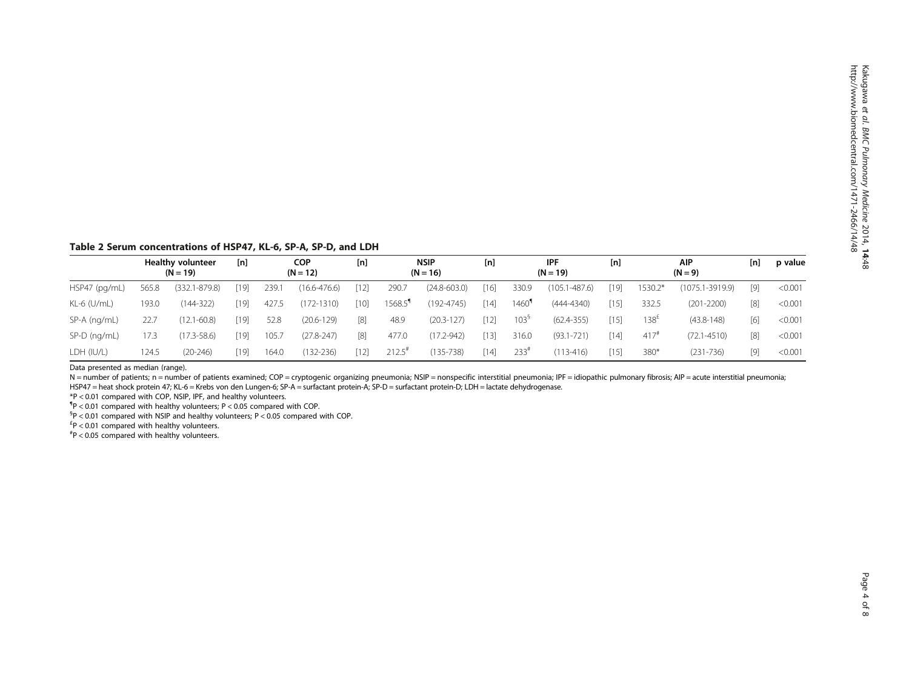<span id="page-3-0"></span>Table 2 Serum concentrations of HSP47, KL-6, SP-A, SP-D, and LDH

|               | <b>Healthy volunteer</b><br>$(N = 19)$ |                   | [n]  | <b>COP</b><br>$(N = 12)$ |                  | [n]    | <b>NSIP</b><br>$(N = 16)$ |                  | [n]    | IPF<br>$(N = 19)$                |                   | [n]  | <b>AIP</b><br>$(N = 9)$ |                     | [n]   | p value |
|---------------|----------------------------------------|-------------------|------|--------------------------|------------------|--------|---------------------------|------------------|--------|----------------------------------|-------------------|------|-------------------------|---------------------|-------|---------|
| HSP47 (pg/mL) | 565.8                                  | $(332.1 - 879.8)$ | [19] | 239.                     | $(16.6 - 476.6)$ | $[12]$ | 290.7                     | $(24.8 - 603.0)$ | $[16]$ | 330.9                            | $(105.1 - 487.6)$ | [19] | 1530.2*                 | $(1075.1 - 3919.9)$ | [9]   | < 0.001 |
| KL-6 (U/mL)   | 193.0                                  | $(144 - 322)$     | [19] | 427.5                    | $(172 - 1310)$   | [10]   | 1568.5 <sup>"</sup>       | $(192 - 4745)$   | [14]   | $1460$ <sup><math>"</math></sup> | $(444 - 4340)$    | [15] | 332.5                   | (201-2200)          | [8]   | < 0.001 |
| SP-A (ng/mL)  | 22.7                                   | $(12.1 - 60.8)$   | [19] | 52.8                     | (20.6-129)       | [8]    | 48.9                      | $(20.3 - 127)$   | $[12]$ | 103 <sup>9</sup>                 | $(62.4 - 355)$    | [15] | 138 <sup>2</sup>        | $(43.8 - 148)$      | [6]   | < 0.001 |
| SP-D (ng/mL)  | 17.3                                   | $(17.3 - 58.6)$   | [19] | 105.                     | $(27.8 - 247)$   | [8]    | 477.0                     | $(17.2 - 942)$   | [13]   | 316.0                            | $(93.1 - 721)$    | [14] | $417$ <sup>#</sup>      | $(72.1 - 4510)$     | [8]   | < 0.001 |
| LDH (IU/L)    | 124.5                                  | $(20-246)$        | [19] | 164.0                    | $(132 - 236)$    | $[12]$ | 212.5"                    | $(135 - 738)$    | $[14]$ | 233"                             | $(113 - 416)$     | [15] | 380*                    | $(231 - 736)$       | $[9]$ | < 0.001 |

Data presented as median (range).

N = number of patients; n = number of patients examined; COP = cryptogenic organizing pneumonia; NSIP = nonspecific interstitial pneumonia; IPF = idiopathic pulmonary fibrosis; AIP = acute interstitial pneumonia; HSP47 = heat shock protein 47; KL-6 = Krebs von den Lungen-6; SP-A = surfactant protein-A; SP-D = surfactant protein-D; LDH = lactate dehydrogenase.

\*P < 0.01 compared with COP, NSIP, IPF, and healthy volunteers.

¶ P < 0.01 compared with healthy volunteers; P < 0.05 compared with COP.

 ${}^{5}P$  < 0.01 compared with NSIP and healthy volunteers; P < 0.05 compared with COP.

 $E^2P$  < 0.01 compared with healthy volunteers.

# P < 0.05 compared with healthy volunteers.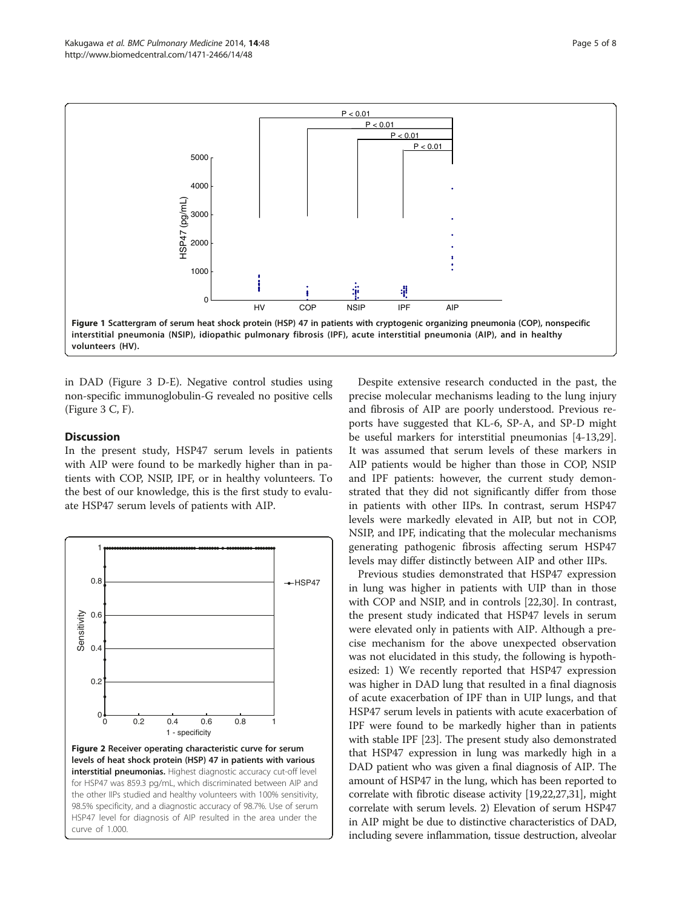<span id="page-4-0"></span>

in DAD (Figure [3](#page-5-0) D-E). Negative control studies using non-specific immunoglobulin-G revealed no positive cells (Figure [3](#page-5-0) C, F).

#### **Discussion**

In the present study, HSP47 serum levels in patients with AIP were found to be markedly higher than in patients with COP, NSIP, IPF, or in healthy volunteers. To the best of our knowledge, this is the first study to evaluate HSP47 serum levels of patients with AIP.



Despite extensive research conducted in the past, the precise molecular mechanisms leading to the lung injury and fibrosis of AIP are poorly understood. Previous reports have suggested that KL-6, SP-A, and SP-D might be useful markers for interstitial pneumonias [[4-13,29](#page-6-0)]. It was assumed that serum levels of these markers in AIP patients would be higher than those in COP, NSIP and IPF patients: however, the current study demonstrated that they did not significantly differ from those in patients with other IIPs. In contrast, serum HSP47 levels were markedly elevated in AIP, but not in COP, NSIP, and IPF, indicating that the molecular mechanisms generating pathogenic fibrosis affecting serum HSP47 levels may differ distinctly between AIP and other IIPs.

Previous studies demonstrated that HSP47 expression in lung was higher in patients with UIP than in those with COP and NSIP, and in controls [\[22,30\]](#page-6-0). In contrast, the present study indicated that HSP47 levels in serum were elevated only in patients with AIP. Although a precise mechanism for the above unexpected observation was not elucidated in this study, the following is hypothesized: 1) We recently reported that HSP47 expression was higher in DAD lung that resulted in a final diagnosis of acute exacerbation of IPF than in UIP lungs, and that HSP47 serum levels in patients with acute exacerbation of IPF were found to be markedly higher than in patients with stable IPF [\[23\]](#page-6-0). The present study also demonstrated that HSP47 expression in lung was markedly high in a DAD patient who was given a final diagnosis of AIP. The amount of HSP47 in the lung, which has been reported to correlate with fibrotic disease activity [[19,22,27](#page-6-0)[,31\]](#page-7-0), might correlate with serum levels. 2) Elevation of serum HSP47 in AIP might be due to distinctive characteristics of DAD, including severe inflammation, tissue destruction, alveolar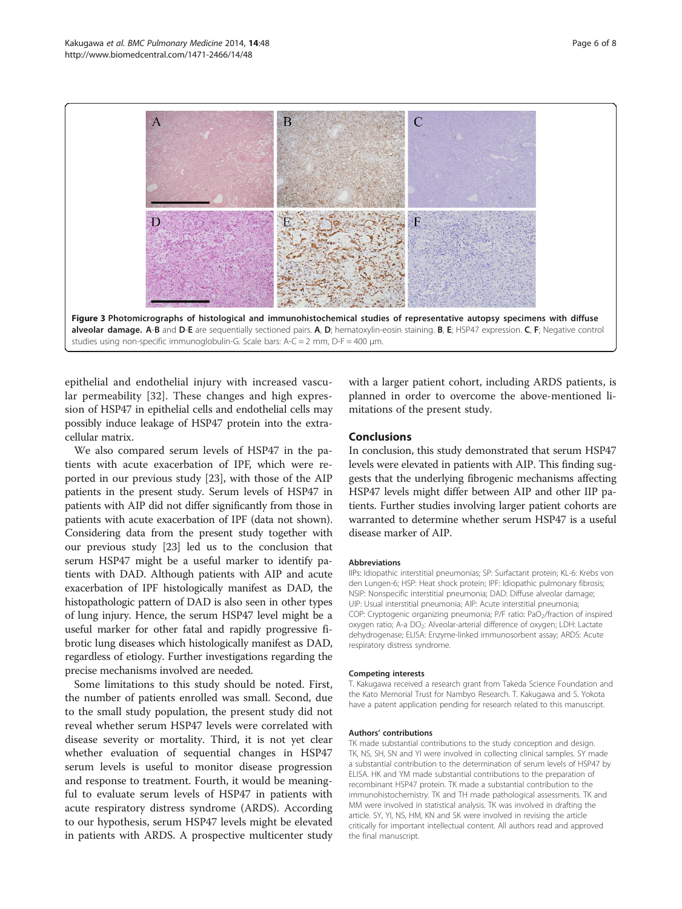<span id="page-5-0"></span>

epithelial and endothelial injury with increased vascular permeability [\[32](#page-7-0)]. These changes and high expression of HSP47 in epithelial cells and endothelial cells may possibly induce leakage of HSP47 protein into the extracellular matrix.

We also compared serum levels of HSP47 in the patients with acute exacerbation of IPF, which were reported in our previous study [\[23](#page-6-0)], with those of the AIP patients in the present study. Serum levels of HSP47 in patients with AIP did not differ significantly from those in patients with acute exacerbation of IPF (data not shown). Considering data from the present study together with our previous study [\[23\]](#page-6-0) led us to the conclusion that serum HSP47 might be a useful marker to identify patients with DAD. Although patients with AIP and acute exacerbation of IPF histologically manifest as DAD, the histopathologic pattern of DAD is also seen in other types of lung injury. Hence, the serum HSP47 level might be a useful marker for other fatal and rapidly progressive fibrotic lung diseases which histologically manifest as DAD, regardless of etiology. Further investigations regarding the precise mechanisms involved are needed.

Some limitations to this study should be noted. First, the number of patients enrolled was small. Second, due to the small study population, the present study did not reveal whether serum HSP47 levels were correlated with disease severity or mortality. Third, it is not yet clear whether evaluation of sequential changes in HSP47 serum levels is useful to monitor disease progression and response to treatment. Fourth, it would be meaningful to evaluate serum levels of HSP47 in patients with acute respiratory distress syndrome (ARDS). According to our hypothesis, serum HSP47 levels might be elevated in patients with ARDS. A prospective multicenter study

with a larger patient cohort, including ARDS patients, is planned in order to overcome the above-mentioned limitations of the present study.

#### Conclusions

In conclusion, this study demonstrated that serum HSP47 levels were elevated in patients with AIP. This finding suggests that the underlying fibrogenic mechanisms affecting HSP47 levels might differ between AIP and other IIP patients. Further studies involving larger patient cohorts are warranted to determine whether serum HSP47 is a useful disease marker of AIP.

#### Abbreviations

IIPs: Idiopathic interstitial pneumonias; SP: Surfactant protein; KL-6: Krebs von den Lungen-6; HSP: Heat shock protein; IPF: Idiopathic pulmonary fibrosis; NSIP: Nonspecific interstitial pneumonia; DAD: Diffuse alveolar damage; UIP: Usual interstitial pneumonia; AIP: Acute interstitial pneumonia; COP: Cryptogenic organizing pneumonia; P/F ratio: PaO<sub>2</sub>/fraction of inspired oxygen ratio; A-a DO<sub>2</sub>: Alveolar-arterial difference of oxygen; LDH: Lactate dehydrogenase; ELISA: Enzyme-linked immunosorbent assay; ARDS: Acute respiratory distress syndrome.

#### Competing interests

T. Kakugawa received a research grant from Takeda Science Foundation and the Kato Memorial Trust for Nambyo Research. T. Kakugawa and S. Yokota have a patent application pending for research related to this manuscript.

#### Authors' contributions

TK made substantial contributions to the study conception and design. TK, NS, SH, SN and YI were involved in collecting clinical samples. SY made a substantial contribution to the determination of serum levels of HSP47 by ELISA. HK and YM made substantial contributions to the preparation of recombinant HSP47 protein. TK made a substantial contribution to the immunohistochemistry. TK and TH made pathological assessments. TK and MM were involved in statistical analysis. TK was involved in drafting the article. SY, YI, NS, HM, KN and SK were involved in revising the article critically for important intellectual content. All authors read and approved the final manuscript.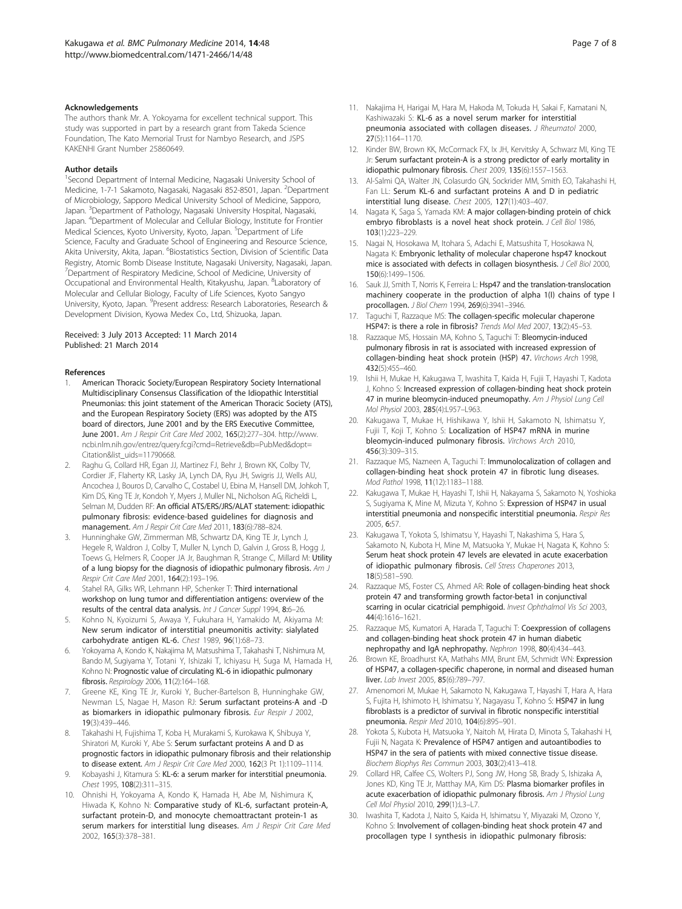#### <span id="page-6-0"></span>Acknowledgements

The authors thank Mr. A. Yokoyama for excellent technical support. This study was supported in part by a research grant from Takeda Science Foundation, The Kato Memorial Trust for Nambyo Research, and JSPS KAKENHI Grant Number 25860649.

#### Author details

<sup>1</sup>Second Department of Internal Medicine, Nagasaki University School of Medicine, 1-7-1 Sakamoto, Nagasaki, Nagasaki 852-8501, Japan. <sup>2</sup>Department of Microbiology, Sapporo Medical University School of Medicine, Sapporo, Japan. <sup>3</sup>Department of Pathology, Nagasaki University Hospital, Nagasaki, Japan. <sup>4</sup> Department of Molecular and Cellular Biology, Institute for Frontier Medical Sciences, Kyoto University, Kyoto, Japan. <sup>5</sup>Department of Life Science, Faculty and Graduate School of Engineering and Resource Science, Akita University, Akita, Japan. <sup>6</sup>Biostatistics Section, Division of Scientific Data Registry, Atomic Bomb Disease Institute, Nagasaki University, Nagasaki, Japan. <sup>7</sup>Department of Respiratory Medicine, School of Medicine, University of Occupational and Environmental Health, Kitakyushu, Japan. <sup>8</sup>Laboratory of Molecular and Cellular Biology, Faculty of Life Sciences, Kyoto Sangyo University, Kyoto, Japan. <sup>9</sup>Present address: Research Laboratories, Research & Development Division, Kyowa Medex Co., Ltd, Shizuoka, Japan.

#### Received: 3 July 2013 Accepted: 11 March 2014 Published: 21 March 2014

#### References

- 1. American Thoracic Society/European Respiratory Society International Multidisciplinary Consensus Classification of the Idiopathic Interstitial Pneumonias: this joint statement of the American Thoracic Society (ATS), and the European Respiratory Society (ERS) was adopted by the ATS board of directors, June 2001 and by the ERS Executive Committee, June 2001. Am J Respir Crit Care Med 2002, 165(2):277–304. [http://www.](http://www.ncbi.nlm.nih.gov/entrez/query.fcgi?cmd=Retrieve&db=PubMed&dopt=Citation&list_uids=11790668) [ncbi.nlm.nih.gov/entrez/query.fcgi?cmd=Retrieve&db=PubMed&dopt=](http://www.ncbi.nlm.nih.gov/entrez/query.fcgi?cmd=Retrieve&db=PubMed&dopt=Citation&list_uids=11790668) [Citation&list\\_uids=11790668](http://www.ncbi.nlm.nih.gov/entrez/query.fcgi?cmd=Retrieve&db=PubMed&dopt=Citation&list_uids=11790668).
- 2. Raghu G, Collard HR, Egan JJ, Martinez FJ, Behr J, Brown KK, Colby TV, Cordier JF, Flaherty KR, Lasky JA, Lynch DA, Ryu JH, Swigris JJ, Wells AU, Ancochea J, Bouros D, Carvalho C, Costabel U, Ebina M, Hansell DM, Johkoh T, Kim DS, King TE Jr, Kondoh Y, Myers J, Muller NL, Nicholson AG, Richeldi L, Selman M, Dudden RF: An official ATS/ERS/JRS/ALAT statement: idiopathic pulmonary fibrosis: evidence-based guidelines for diagnosis and management. Am J Respir Crit Care Med 2011, 183(6):788–824.
- 3. Hunninghake GW, Zimmerman MB, Schwartz DA, King TE Jr, Lynch J, Hegele R, Waldron J, Colby T, Muller N, Lynch D, Galvin J, Gross B, Hogg J, Toews G, Helmers R, Cooper JA Jr, Baughman R, Strange C, Millard M: Utility of a lung biopsy for the diagnosis of idiopathic pulmonary fibrosis. Am J Respir Crit Care Med 2001, 164(2):193–196.
- 4. Stahel RA, Gilks WR, Lehmann HP, Schenker T: Third international workshop on lung tumor and differentiation antigens: overview of the results of the central data analysis. Int J Cancer Suppl 1994, 8:6–26.
- 5. Kohno N, Kyoizumi S, Awaya Y, Fukuhara H, Yamakido M, Akiyama M: New serum indicator of interstitial pneumonitis activity: sialylated carbohydrate antigen KL-6. Chest 1989, 96(1):68–73.
- 6. Yokoyama A, Kondo K, Nakajima M, Matsushima T, Takahashi T, Nishimura M, Bando M, Sugiyama Y, Totani Y, Ishizaki T, Ichiyasu H, Suga M, Hamada H, Kohno N: Prognostic value of circulating KL-6 in idiopathic pulmonary fibrosis. Respirology 2006, 11(2):164–168.
- 7. Greene KE, King TE Jr, Kuroki Y, Bucher-Bartelson B, Hunninghake GW, Newman LS, Nagae H, Mason RJ: Serum surfactant proteins-A and -D as biomarkers in idiopathic pulmonary fibrosis. Eur Respir J 2002, 19(3):439–446.
- 8. Takahashi H, Fujishima T, Koba H, Murakami S, Kurokawa K, Shibuya Y, Shiratori M, Kuroki Y, Abe S: Serum surfactant proteins A and D as prognostic factors in idiopathic pulmonary fibrosis and their relationship to disease extent. Am J Respir Crit Care Med 2000, 162(3 Pt 1):1109–1114.
- 9. Kobayashi J, Kitamura S: KL-6: a serum marker for interstitial pneumonia. Chest 1995, 108(2):311–315.
- 10. Ohnishi H, Yokoyama A, Kondo K, Hamada H, Abe M, Nishimura K, Hiwada K, Kohno N: Comparative study of KL-6, surfactant protein-A, surfactant protein-D, and monocyte chemoattractant protein-1 as serum markers for interstitial lung diseases. Am J Respir Crit Care Med 2002, 165(3):378–381.
- 11. Nakajima H, Harigai M, Hara M, Hakoda M, Tokuda H, Sakai F, Kamatani N, Kashiwazaki S: KL-6 as a novel serum marker for interstitial pneumonia associated with collagen diseases. J Rheumatol 2000, 27(5):1164–1170.
- 12. Kinder BW, Brown KK, McCormack FX, Ix JH, Kervitsky A, Schwarz MI, King TE Jr: Serum surfactant protein-A is a strong predictor of early mortality in idiopathic pulmonary fibrosis. Chest 2009, 135(6):1557–1563.
- 13. Al-Salmi QA, Walter JN, Colasurdo GN, Sockrider MM, Smith EO, Takahashi H, Fan LL: Serum KL-6 and surfactant proteins A and D in pediatric interstitial lung disease. Chest 2005, 127(1):403–407.
- 14. Nagata K, Saga S, Yamada KM: A major collagen-binding protein of chick embryo fibroblasts is a novel heat shock protein. J Cell Biol 1986, 103(1):223–229.
- 15. Nagai N, Hosokawa M, Itohara S, Adachi E, Matsushita T, Hosokawa N, Nagata K: Embryonic lethality of molecular chaperone hsp47 knockout mice is associated with defects in collagen biosynthesis. J Cell Biol 2000, 150(6):1499–1506.
- 16. Sauk JJ, Smith T, Norris K, Ferreira L: Hsp47 and the translation-translocation machinery cooperate in the production of alpha 1(I) chains of type I procollagen. J Biol Chem 1994, 269(6):3941–3946.
- 17. Taguchi T, Razzaque MS: The collagen-specific molecular chaperone HSP47: is there a role in fibrosis? Trends Mol Med 2007, 13(2):45-53.
- 18. Razzaque MS, Hossain MA, Kohno S, Taguchi T: Bleomycin-induced pulmonary fibrosis in rat is associated with increased expression of collagen-binding heat shock protein (HSP) 47. Virchows Arch 1998, 432(5):455–460.
- 19. Ishii H, Mukae H, Kakugawa T, Iwashita T, Kaida H, Fujii T, Hayashi T, Kadota J, Kohno S: Increased expression of collagen-binding heat shock protein 47 in murine bleomycin-induced pneumopathy. Am J Physiol Lung Cell Mol Physiol 2003, 285(4):L957–L963.
- 20. Kakugawa T, Mukae H, Hishikawa Y, Ishii H, Sakamoto N, Ishimatsu Y, Fujii T, Koji T, Kohno S: Localization of HSP47 mRNA in murine bleomycin-induced pulmonary fibrosis. Virchows Arch 2010, 456(3):309–315.
- 21. Razzaque MS, Nazneen A, Taquchi T: Immunolocalization of collagen and collagen-binding heat shock protein 47 in fibrotic lung diseases. Mod Pathol 1998, 11(12):1183–1188.
- 22. Kakugawa T, Mukae H, Hayashi T, Ishii H, Nakayama S, Sakamoto N, Yoshioka S, Sugiyama K, Mine M, Mizuta Y, Kohno S: Expression of HSP47 in usual interstitial pneumonia and nonspecific interstitial pneumonia. Respir Res 2005, 6:57.
- 23. Kakugawa T, Yokota S, Ishimatsu Y, Hayashi T, Nakashima S, Hara S, Sakamoto N, Kubota H, Mine M, Matsuoka Y, Mukae H, Nagata K, Kohno S: Serum heat shock protein 47 levels are elevated in acute exacerbation of idiopathic pulmonary fibrosis. Cell Stress Chaperones 2013, 18(5):581–590.
- 24. Razzaque MS, Foster CS, Ahmed AR: Role of collagen-binding heat shock protein 47 and transforming growth factor-beta1 in conjunctival scarring in ocular cicatricial pemphigoid. Invest Ophthalmol Vis Sci 2003, 44(4):1616–1621.
- 25. Razzaque MS, Kumatori A, Harada T, Taguchi T: Coexpression of collagens and collagen-binding heat shock protein 47 in human diabetic nephropathy and IgA nephropathy. Nephron 1998, 80(4):434–443.
- 26. Brown KE, Broadhurst KA, Mathahs MM, Brunt EM, Schmidt WN: Expression of HSP47, a collagen-specific chaperone, in normal and diseased human liver. Lab Invest 2005, 85(6):789–797.
- 27. Amenomori M, Mukae H, Sakamoto N, Kakugawa T, Hayashi T, Hara A, Hara S, Fujita H, Ishimoto H, Ishimatsu Y, Nagayasu T, Kohno S: HSP47 in lung fibroblasts is a predictor of survival in fibrotic nonspecific interstitial pneumonia. Respir Med 2010, 104(6):895–901.
- 28. Yokota S, Kubota H, Matsuoka Y, Naitoh M, Hirata D, Minota S, Takahashi H, Fujii N, Nagata K: Prevalence of HSP47 antigen and autoantibodies to HSP47 in the sera of patients with mixed connective tissue disease. Biochem Biophys Res Commun 2003, 303(2):413–418.
- 29. Collard HR, Calfee CS, Wolters PJ, Song JW, Hong SB, Brady S, Ishizaka A, Jones KD, King TE Jr, Matthay MA, Kim DS: Plasma biomarker profiles in acute exacerbation of idiopathic pulmonary fibrosis. Am J Physiol Lung Cell Mol Physiol 2010, 299(1):L3–L7.
- 30. Iwashita T, Kadota J, Naito S, Kaida H, Ishimatsu Y, Miyazaki M, Ozono Y, Kohno S: Involvement of collagen-binding heat shock protein 47 and procollagen type I synthesis in idiopathic pulmonary fibrosis: